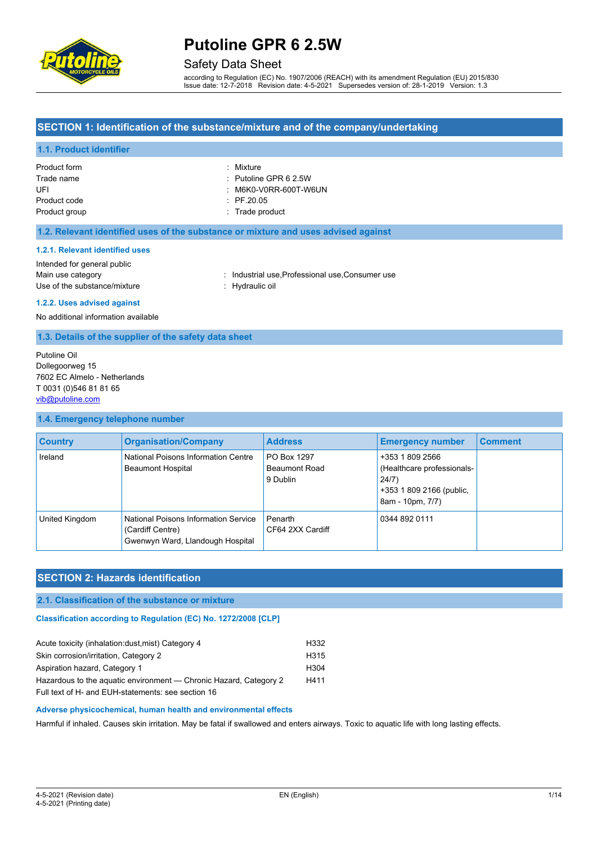

### Safety Data Sheet

according to Regulation (EC) No. 1907/2006 (REACH) with its amendment Regulation (EU) 2015/830 Issue date: 12-7-2018 Revision date: 4-5-2021 Supersedes version of: 28-1-2019 Version: 1.3

### **SECTION 1: Identification of the substance/mixture and of the company/undertaking**

### **1.1. Product identifier**

| Product form  | : Mixture                        |
|---------------|----------------------------------|
| Trade name    | $\therefore$ Putoline GPR 6 2.5W |
| UFI           | $\therefore$ M6K0-V0RR-600T-W6UN |
| Product code  | $\div$ PF.20.05                  |
| Product group | : Trade product                  |

#### **1.2. Relevant identified uses of the substance or mixture and uses advised against**

#### **1.2.1. Relevant identified uses**

| Intended for general public  |
|------------------------------|
| Main use category            |
| Use of the substance/mixture |

: Industrial use, Professional use, Consumer use : Hydraulic oil

**1.2.2. Uses advised against**

No additional information available

### **1.3. Details of the supplier of the safety data sheet**

Putoline Oil Dollegoorweg 15 7602 EC Almelo - Netherlands T 0031 (0)546 81 81 65 [vib@putoline.com](mailto:vib@putoline.com)

#### **1.4. Emergency telephone number**

| <b>Country</b> | <b>Organisation/Company</b>                                                                  | <b>Address</b>                                  | <b>Emergency number</b>                                                                                | <b>Comment</b> |
|----------------|----------------------------------------------------------------------------------------------|-------------------------------------------------|--------------------------------------------------------------------------------------------------------|----------------|
| Ireland        | National Poisons Information Centre<br><b>Beaumont Hospital</b>                              | PO Box 1297<br><b>Beaumont Road</b><br>9 Dublin | +353 1 809 2566<br>(Healthcare professionals-<br>24/7)<br>+353 1 809 2166 (public,<br>8am - 10pm, 7/7) |                |
| United Kingdom | National Poisons Information Service<br>(Cardiff Centre)<br>Gwenwyn Ward, Llandough Hospital | Penarth<br>CF64 2XX Cardiff                     | 0344 892 0111                                                                                          |                |

# **SECTION 2: Hazards identification**

#### **2.1. Classification of the substance or mixture**

**Classification according to Regulation (EC) No. 1272/2008 [CLP]** 

| Acute toxicity (inhalation: dust, mist) Category 4                | H332             |
|-------------------------------------------------------------------|------------------|
| Skin corrosion/irritation, Category 2                             | H <sub>315</sub> |
| Aspiration hazard, Category 1                                     | H <sub>304</sub> |
| Hazardous to the aquatic environment — Chronic Hazard, Category 2 | H411             |
| Full text of H- and EUH-statements: see section 16                |                  |

#### **Adverse physicochemical, human health and environmental effects**

Harmful if inhaled. Causes skin irritation. May be fatal if swallowed and enters airways. Toxic to aquatic life with long lasting effects.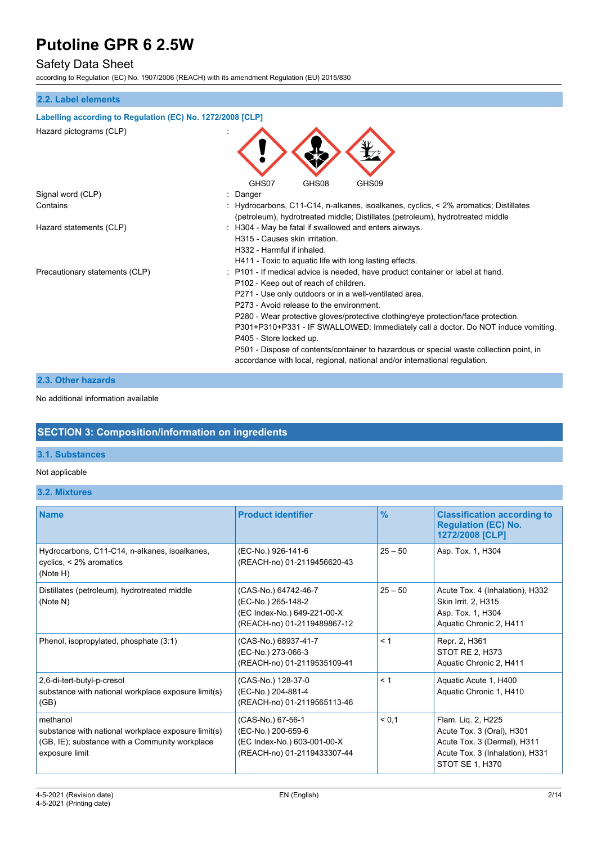# Safety Data Sheet

according to Regulation (EC) No. 1907/2006 (REACH) with its amendment Regulation (EU) 2015/830

### **2.2. Label elements**

#### **Labelling according to Regulation (EC) No. 1272/2008 [CLP]**

| Hazard pictograms (CLP)        | GHS07<br>GHS08<br>GHS09                                                                                                                                                                                                                                                                                                                                                                                                                                                                                                                                                                                     |
|--------------------------------|-------------------------------------------------------------------------------------------------------------------------------------------------------------------------------------------------------------------------------------------------------------------------------------------------------------------------------------------------------------------------------------------------------------------------------------------------------------------------------------------------------------------------------------------------------------------------------------------------------------|
| Signal word (CLP)              | Danger                                                                                                                                                                                                                                                                                                                                                                                                                                                                                                                                                                                                      |
| Contains                       | Hydrocarbons, C11-C14, n-alkanes, isoalkanes, cyclics, < 2% aromatics; Distillates<br>(petroleum), hydrotreated middle; Distillates (petroleum), hydrotreated middle                                                                                                                                                                                                                                                                                                                                                                                                                                        |
| Hazard statements (CLP)        | H304 - May be fatal if swallowed and enters airways.<br>H315 - Causes skin irritation.<br>H332 - Harmful if inhaled.<br>H411 - Toxic to aquatic life with long lasting effects.                                                                                                                                                                                                                                                                                                                                                                                                                             |
| Precautionary statements (CLP) | : P101 - If medical advice is needed, have product container or label at hand.<br>P102 - Keep out of reach of children.<br>P271 - Use only outdoors or in a well-ventilated area.<br>P273 - Avoid release to the environment.<br>P280 - Wear protective gloves/protective clothing/eye protection/face protection.<br>P301+P310+P331 - IF SWALLOWED: Immediately call a doctor. Do NOT induce vomiting.<br>P405 - Store locked up.<br>P501 - Dispose of contents/container to hazardous or special waste collection point, in<br>accordance with local, regional, national and/or international regulation. |

### **2.3. Other hazards**

No additional information available

# **SECTION 3: Composition/information on ingredients**

### **3.1. Substances**

#### Not applicable

**3.2. Mixtures**

| <b>Name</b>                                                                                                                         | <b>Product identifier</b>                                                                                | $\frac{9}{6}$ | <b>Classification according to</b><br><b>Regulation (EC) No.</b><br>1272/2008 [CLP]                                                  |
|-------------------------------------------------------------------------------------------------------------------------------------|----------------------------------------------------------------------------------------------------------|---------------|--------------------------------------------------------------------------------------------------------------------------------------|
| Hydrocarbons, C11-C14, n-alkanes, isoalkanes,<br>cyclics, < 2% aromatics<br>(Note H)                                                | (EC-No.) 926-141-6<br>(REACH-no) 01-2119456620-43                                                        | $25 - 50$     | Asp. Tox. 1, H304                                                                                                                    |
| Distillates (petroleum), hydrotreated middle<br>(Note N)                                                                            | (CAS-No.) 64742-46-7<br>(EC-No.) 265-148-2<br>(EC Index-No.) 649-221-00-X<br>(REACH-no) 01-2119489867-12 | $25 - 50$     | Acute Tox. 4 (Inhalation), H332<br>Skin Irrit. 2, H315<br>Asp. Tox. 1, H304<br>Aquatic Chronic 2, H411                               |
| Phenol, isopropylated, phosphate (3:1)                                                                                              | (CAS-No.) 68937-41-7<br>(EC-No.) 273-066-3<br>(REACH-no) 01-2119535109-41                                | < 1           | Repr. 2, H361<br>STOT RE 2, H373<br>Aquatic Chronic 2, H411                                                                          |
| 2,6-di-tert-butyl-p-cresol<br>substance with national workplace exposure limit(s)<br>(GB)                                           | (CAS-No.) 128-37-0<br>(EC-No.) 204-881-4<br>(REACH-no) 01-2119565113-46                                  | < 1           | Aquatic Acute 1, H400<br>Aquatic Chronic 1, H410                                                                                     |
| methanol<br>substance with national workplace exposure limit(s)<br>(GB, IE); substance with a Community workplace<br>exposure limit | (CAS-No.) 67-56-1<br>(EC-No.) 200-659-6<br>(EC Index-No.) 603-001-00-X<br>(REACH-no) 01-2119433307-44    | < 0.1         | Flam. Lig. 2, H225<br>Acute Tox. 3 (Oral), H301<br>Acute Tox. 3 (Dermal), H311<br>Acute Tox. 3 (Inhalation), H331<br>STOT SE 1, H370 |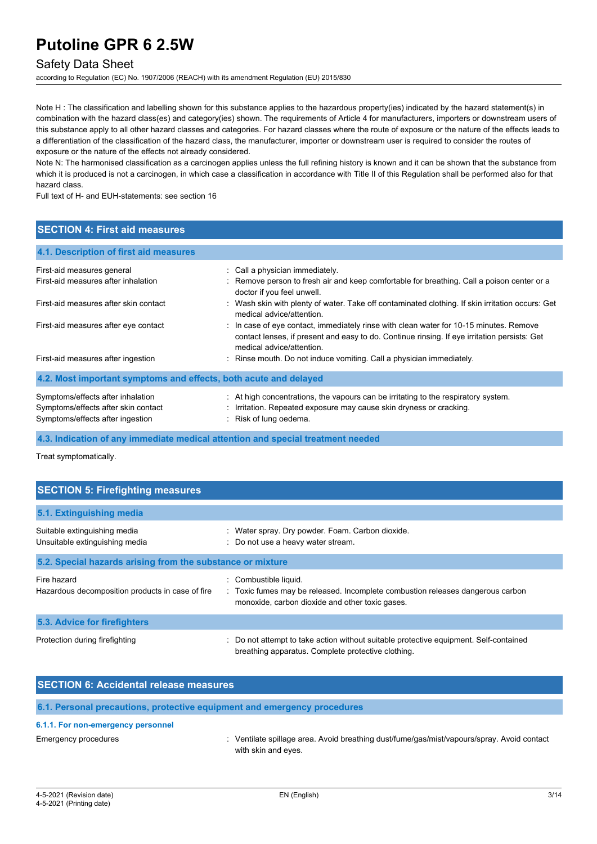# Safety Data Sheet

according to Regulation (EC) No. 1907/2006 (REACH) with its amendment Regulation (EU) 2015/830

Note H: The classification and labelling shown for this substance applies to the hazardous property(ies) indicated by the hazard statement(s) in combination with the hazard class(es) and category(ies) shown. The requirements of Article 4 for manufacturers, importers or downstream users of this substance apply to all other hazard classes and categories. For hazard classes where the route of exposure or the nature of the effects leads to a differentiation of the classification of the hazard class, the manufacturer, importer or downstream user is required to consider the routes of exposure or the nature of the effects not already considered.

Note N: The harmonised classification as a carcinogen applies unless the full refining history is known and it can be shown that the substance from which it is produced is not a carcinogen, in which case a classification in accordance with Title II of this Regulation shall be performed also for that hazard class.

Full text of H- and EUH-statements: see section 16

# **SECTION 4: First aid measures**

| 4.1. Description of first aid measures                                                                       |                                                                                                                                                                                                                     |  |  |
|--------------------------------------------------------------------------------------------------------------|---------------------------------------------------------------------------------------------------------------------------------------------------------------------------------------------------------------------|--|--|
| First-aid measures general                                                                                   | : Call a physician immediately.                                                                                                                                                                                     |  |  |
| First-aid measures after inhalation                                                                          | : Remove person to fresh air and keep comfortable for breathing. Call a poison center or a<br>doctor if you feel unwell.                                                                                            |  |  |
| First-aid measures after skin contact                                                                        | : Wash skin with plenty of water. Take off contaminated clothing. If skin irritation occurs: Get<br>medical advice/attention.                                                                                       |  |  |
| First-aid measures after eye contact                                                                         | : In case of eye contact, immediately rinse with clean water for 10-15 minutes. Remove<br>contact lenses, if present and easy to do. Continue rinsing. If eye irritation persists: Get<br>medical advice/attention. |  |  |
| First-aid measures after ingestion                                                                           | : Rinse mouth. Do not induce vomiting. Call a physician immediately.                                                                                                                                                |  |  |
| 4.2. Most important symptoms and effects, both acute and delayed                                             |                                                                                                                                                                                                                     |  |  |
| Symptoms/effects after inhalation<br>Symptoms/effects after skin contact<br>Symptoms/effects after ingestion | : At high concentrations, the vapours can be irritating to the respiratory system.<br>: Irritation. Repeated exposure may cause skin dryness or cracking.<br>Risk of lung oedema.                                   |  |  |

**4.3. Indication of any immediate medical attention and special treatment needed**

Treat symptomatically.

| <b>SECTION 5: Firefighting measures</b>                         |                                                                                                                                                          |  |  |
|-----------------------------------------------------------------|----------------------------------------------------------------------------------------------------------------------------------------------------------|--|--|
| 5.1. Extinguishing media                                        |                                                                                                                                                          |  |  |
| Suitable extinguishing media<br>Unsuitable extinguishing media  | : Water spray. Dry powder. Foam. Carbon dioxide.<br>: Do not use a heavy water stream.                                                                   |  |  |
| 5.2. Special hazards arising from the substance or mixture      |                                                                                                                                                          |  |  |
| Fire hazard<br>Hazardous decomposition products in case of fire | Combustible liquid.<br>: Toxic fumes may be released. Incomplete combustion releases dangerous carbon<br>monoxide, carbon dioxide and other toxic gases. |  |  |
| 5.3. Advice for firefighters                                    |                                                                                                                                                          |  |  |
| Protection during firefighting                                  | Do not attempt to take action without suitable protective equipment. Self-contained<br>breathing apparatus. Complete protective clothing.                |  |  |

| <b>SECTION 6: Accidental release measures</b> |                                                                                            |  |  |
|-----------------------------------------------|--------------------------------------------------------------------------------------------|--|--|
|                                               | 6.1. Personal precautions, protective equipment and emergency procedures                   |  |  |
| 6.1.1. For non-emergency personnel            |                                                                                            |  |  |
| Emergency procedures                          | : Ventilate spillage area. Avoid breathing dust/fume/gas/mist/vapours/spray. Avoid contact |  |  |

with skin and eyes.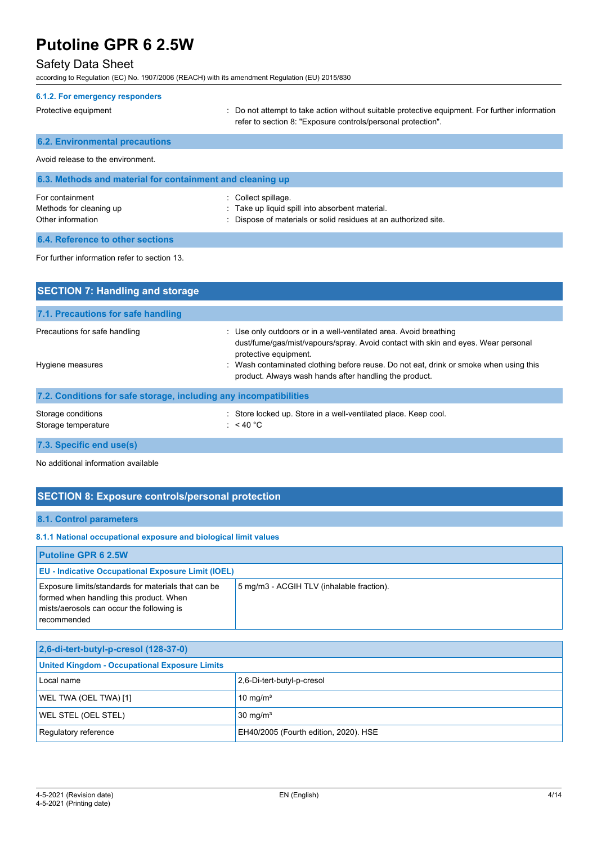# Safety Data Sheet

according to Regulation (EC) No. 1907/2006 (REACH) with its amendment Regulation (EU) 2015/830

| 6.1.2. For emergency responders                                 |                                                                                                                                                              |
|-----------------------------------------------------------------|--------------------------------------------------------------------------------------------------------------------------------------------------------------|
| Protective equipment                                            | Do not attempt to take action without suitable protective equipment. For further information<br>refer to section 8: "Exposure controls/personal protection". |
| <b>6.2. Environmental precautions</b>                           |                                                                                                                                                              |
| Avoid release to the environment.                               |                                                                                                                                                              |
| 6.3. Methods and material for containment and cleaning up       |                                                                                                                                                              |
| For containment<br>Methods for cleaning up<br>Other information | Collect spillage.<br>Take up liquid spill into absorbent material.<br>Dispose of materials or solid residues at an authorized site.                          |
| 6.4. Reference to other sections                                |                                                                                                                                                              |
| For further information refer to section 13.                    |                                                                                                                                                              |
| <b>SECTION 7: Handling and storage</b>                          |                                                                                                                                                              |

| 7.1. Precautions for safe handling                                |                                                                                                                                                                                                                                                                                                                                  |  |
|-------------------------------------------------------------------|----------------------------------------------------------------------------------------------------------------------------------------------------------------------------------------------------------------------------------------------------------------------------------------------------------------------------------|--|
| Precautions for safe handling<br>Hygiene measures                 | : Use only outdoors or in a well-ventilated area. Avoid breathing<br>dust/fume/gas/mist/vapours/spray. Avoid contact with skin and eyes. Wear personal<br>protective equipment.<br>Wash contaminated clothing before reuse. Do not eat, drink or smoke when using this<br>product. Always wash hands after handling the product. |  |
| 7.2. Conditions for safe storage, including any incompatibilities |                                                                                                                                                                                                                                                                                                                                  |  |
| Storage conditions<br>Storage temperature                         | : Store locked up. Store in a well-ventilated place. Keep cool.<br>: $<$ 40 °C                                                                                                                                                                                                                                                   |  |

**7.3. Specific end use(s)**

No additional information available

# **SECTION 8: Exposure controls/personal protection**

### **8.1. Control parameters**

#### **8.1.1 National occupational exposure and biological limit values**

| <b>Putoline GPR 6 2.5W</b>                                                                                                                                 |                                           |  |
|------------------------------------------------------------------------------------------------------------------------------------------------------------|-------------------------------------------|--|
| <b>EU - Indicative Occupational Exposure Limit (IOEL)</b>                                                                                                  |                                           |  |
| Exposure limits/standards for materials that can be<br>formed when handling this product. When<br>mists/aerosols can occur the following is<br>recommended | 5 mg/m3 - ACGIH TLV (inhalable fraction). |  |

| 2,6-di-tert-butyl-p-cresol (128-37-0)                         |                            |  |
|---------------------------------------------------------------|----------------------------|--|
| <b>United Kingdom - Occupational Exposure Limits</b>          |                            |  |
| Local name                                                    | 2,6-Di-tert-butyl-p-cresol |  |
| WEL TWA (OEL TWA) [1]                                         | 10 mg/m <sup>3</sup>       |  |
| <b>WEL STEL (OEL STEL)</b>                                    | $30 \text{ mg/m}^3$        |  |
| Regulatory reference<br>EH40/2005 (Fourth edition, 2020). HSE |                            |  |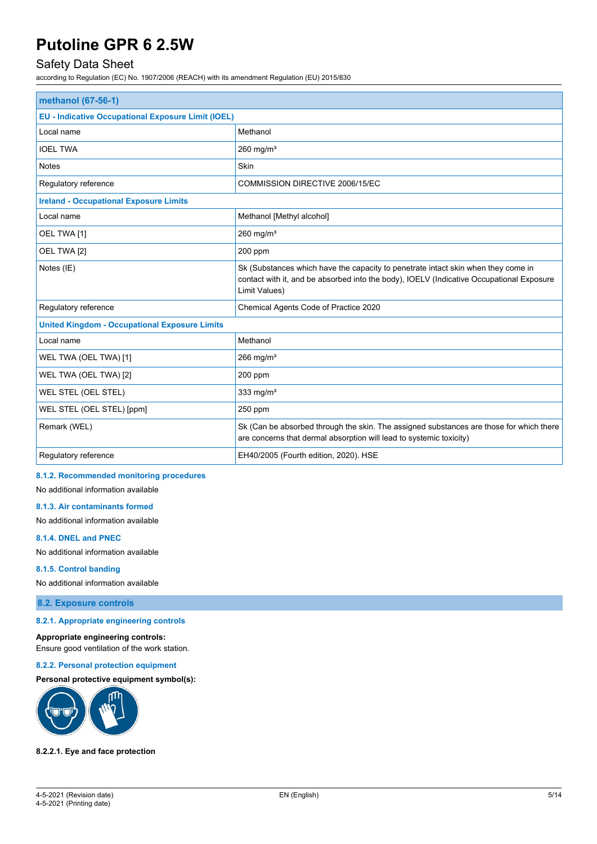# Safety Data Sheet

according to Regulation (EC) No. 1907/2006 (REACH) with its amendment Regulation (EU) 2015/830

| methanol (67-56-1)                                        |                                                                                                                                                                                                |  |
|-----------------------------------------------------------|------------------------------------------------------------------------------------------------------------------------------------------------------------------------------------------------|--|
| <b>EU - Indicative Occupational Exposure Limit (IOEL)</b> |                                                                                                                                                                                                |  |
| Local name                                                | Methanol                                                                                                                                                                                       |  |
| <b>IOEL TWA</b>                                           | 260 mg/ $m3$                                                                                                                                                                                   |  |
| <b>Notes</b>                                              | Skin                                                                                                                                                                                           |  |
| Regulatory reference                                      | COMMISSION DIRECTIVE 2006/15/EC                                                                                                                                                                |  |
| <b>Ireland - Occupational Exposure Limits</b>             |                                                                                                                                                                                                |  |
| Local name                                                | Methanol [Methyl alcohol]                                                                                                                                                                      |  |
| OEL TWA [1]                                               | 260 mg/ $m3$                                                                                                                                                                                   |  |
| OEL TWA [2]                                               | 200 ppm                                                                                                                                                                                        |  |
| Notes (IE)                                                | Sk (Substances which have the capacity to penetrate intact skin when they come in<br>contact with it, and be absorbed into the body), IOELV (Indicative Occupational Exposure<br>Limit Values) |  |
| Regulatory reference                                      | Chemical Agents Code of Practice 2020                                                                                                                                                          |  |
| <b>United Kingdom - Occupational Exposure Limits</b>      |                                                                                                                                                                                                |  |
| Local name                                                | Methanol                                                                                                                                                                                       |  |
| WEL TWA (OEL TWA) [1]                                     | 266 mg/ $m3$                                                                                                                                                                                   |  |
| WEL TWA (OEL TWA) [2]                                     | 200 ppm                                                                                                                                                                                        |  |
| WEL STEL (OEL STEL)                                       | 333 mg/ $m3$                                                                                                                                                                                   |  |
| WEL STEL (OEL STEL) [ppm]                                 | 250 ppm                                                                                                                                                                                        |  |
| Remark (WEL)                                              | Sk (Can be absorbed through the skin. The assigned substances are those for which there<br>are concerns that dermal absorption will lead to systemic toxicity)                                 |  |
| Regulatory reference                                      | EH40/2005 (Fourth edition, 2020). HSE                                                                                                                                                          |  |

#### **8.1.2. Recommended monitoring procedures**

No additional information available

#### **8.1.3. Air contaminants formed**

No additional information available

#### **8.1.4. DNEL and PNEC**

No additional information available

#### **8.1.5. Control banding**

No additional information available

#### **8.2. Exposure controls**

#### **8.2.1. Appropriate engineering controls**

**Appropriate engineering controls:** Ensure good ventilation of the work station.

#### **8.2.2. Personal protection equipment**

**Personal protective equipment symbol(s):**



#### **8.2.2.1. Eye and face protection**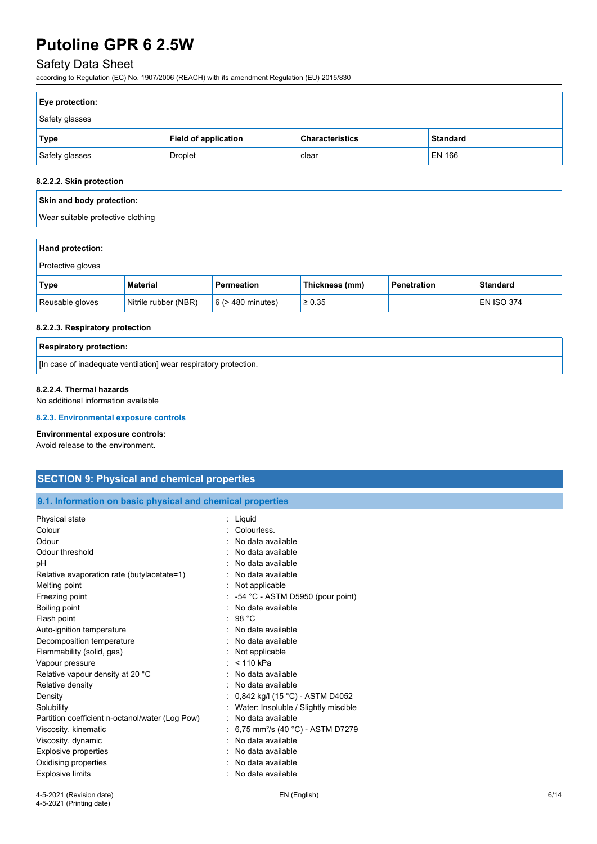# Safety Data Sheet

according to Regulation (EC) No. 1907/2006 (REACH) with its amendment Regulation (EU) 2015/830

| <b>Eye protection:</b> |                      |                        |                 |
|------------------------|----------------------|------------------------|-----------------|
| Safety glasses         |                      |                        |                 |
| Type                   | Field of application | <b>Characteristics</b> | <b>Standard</b> |
| Safety glasses         | <b>Droplet</b>       | clear                  | EN 166          |

### **8.2.2.2. Skin protection**

| Skin and body protection:         |  |
|-----------------------------------|--|
| Wear suitable protective clothing |  |

| <b>Hand protection:</b>  |                      |                        |                |             |                   |
|--------------------------|----------------------|------------------------|----------------|-------------|-------------------|
| <b>Protective gloves</b> |                      |                        |                |             |                   |
| Type                     | <b>Material</b>      | Permeation             | Thickness (mm) | Penetration | <b>Standard</b>   |
| Reusable gloves          | Nitrile rubber (NBR) | $6$ ( $>$ 480 minutes) | $\geq 0.35$    |             | <b>EN ISO 374</b> |

#### **8.2.2.3. Respiratory protection**

| <b>Respiratory protection:</b>                                   |
|------------------------------------------------------------------|
| [In case of inadequate ventilation] wear respiratory protection. |

### **8.2.2.4. Thermal hazards**

No additional information available

#### **8.2.3. Environmental exposure controls**

#### **Environmental exposure controls:**

Avoid release to the environment.

# **SECTION 9: Physical and chemical properties**

### **9.1. Information on basic physical and chemical properties**

| Physical state                                  | : Liguid                                     |
|-------------------------------------------------|----------------------------------------------|
| Colour                                          | Colourless.                                  |
| Odour                                           | No data available                            |
| Odour threshold                                 | No data available                            |
| рH                                              | No data available                            |
| Relative evaporation rate (butylacetate=1)      | No data available                            |
| Melting point                                   | Not applicable                               |
| Freezing point                                  | $-54$ °C - ASTM D5950 (pour point)           |
| Boiling point                                   | No data available                            |
| Flash point                                     | : 98 °C                                      |
| Auto-ignition temperature                       | No data available                            |
| Decomposition temperature                       | : No data available                          |
| Flammability (solid, gas)                       | Not applicable                               |
| Vapour pressure                                 | $:$ < 110 kPa                                |
| Relative vapour density at 20 °C                | No data available                            |
| Relative density                                | : No data available                          |
| Density                                         | 0,842 kg/l (15 °C) - ASTM D4052              |
| Solubility                                      | Water: Insoluble / Slightly miscible         |
| Partition coefficient n-octanol/water (Log Pow) | No data available                            |
| Viscosity, kinematic                            | 6,75 mm <sup>2</sup> /s (40 °C) - ASTM D7279 |
| Viscosity, dynamic                              | No data available                            |
| Explosive properties                            | No data available                            |
| Oxidising properties                            | No data available                            |
| <b>Explosive limits</b>                         | No data available                            |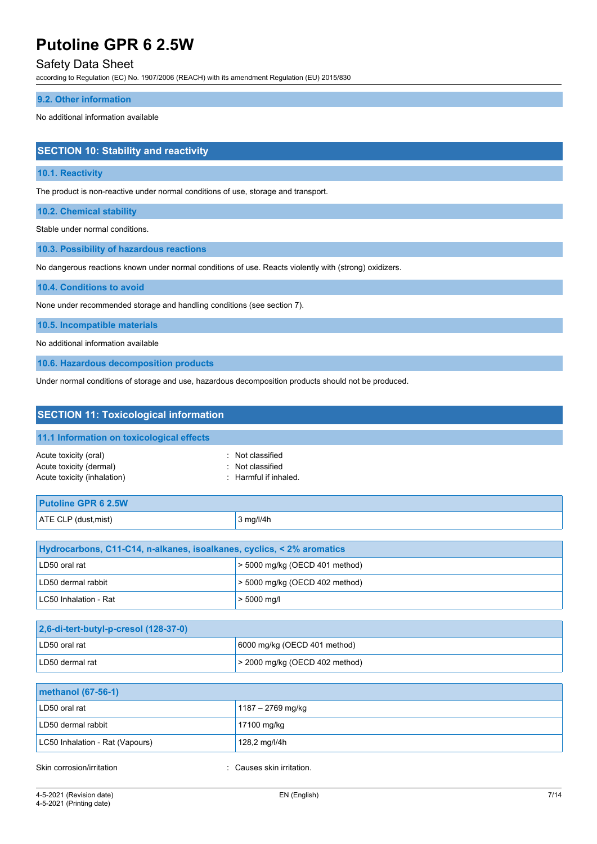# Safety Data Sheet

according to Regulation (EC) No. 1907/2006 (REACH) with its amendment Regulation (EU) 2015/830

#### **9.2. Other information**

No additional information available

# **SECTION 10: Stability and reactivity**

#### **10.1. Reactivity**

The product is non-reactive under normal conditions of use, storage and transport.

**10.2. Chemical stability**

Stable under normal conditions.

**10.3. Possibility of hazardous reactions**

No dangerous reactions known under normal conditions of use. Reacts violently with (strong) oxidizers.

**10.4. Conditions to avoid**

None under recommended storage and handling conditions (see section 7).

**10.5. Incompatible materials**

No additional information available

**10.6. Hazardous decomposition products**

Under normal conditions of storage and use, hazardous decomposition products should not be produced.

| <b>SECTION 11: Toxicological information</b>                                    |                                                               |  |
|---------------------------------------------------------------------------------|---------------------------------------------------------------|--|
| 11.1 Information on toxicological effects                                       |                                                               |  |
| Acute toxicity (oral)<br>Acute toxicity (dermal)<br>Acute toxicity (inhalation) | : Not classified<br>: Not classified<br>: Harmful if inhaled. |  |
| <b>Putoline GPR 6 2.5W</b>                                                      |                                                               |  |
| ATE CLP (dust, mist)                                                            | 3 mg/l/4h                                                     |  |
|                                                                                 |                                                               |  |
| Hydrocarbons, C11-C14, n-alkanes, isoalkanes, cyclics, < 2% aromatics           |                                                               |  |
| LD50 oral rat                                                                   | > 5000 mg/kg (OECD 401 method)                                |  |
| LD50 dermal rabbit                                                              | > 5000 mg/kg (OECD 402 method)                                |  |
| LC50 Inhalation - Rat                                                           | $> 5000$ mg/l                                                 |  |
|                                                                                 |                                                               |  |
| 2,6-di-tert-butyl-p-cresol (128-37-0)                                           |                                                               |  |
| LD50 oral rat                                                                   | 6000 mg/kg (OECD 401 method)                                  |  |
| LD50 dermal rat                                                                 | > 2000 mg/kg (OECD 402 method)                                |  |
|                                                                                 |                                                               |  |
| methanol (67-56-1)                                                              |                                                               |  |
| LD50 oral rat                                                                   | 1187 - 2769 mg/kg                                             |  |
| LD50 dermal rabbit                                                              | 17100 mg/kg                                                   |  |
| LC50 Inhalation - Rat (Vapours)                                                 | 128,2 mg/l/4h                                                 |  |

Skin corrosion/irritation **intervalse and the Causes skin irritation**.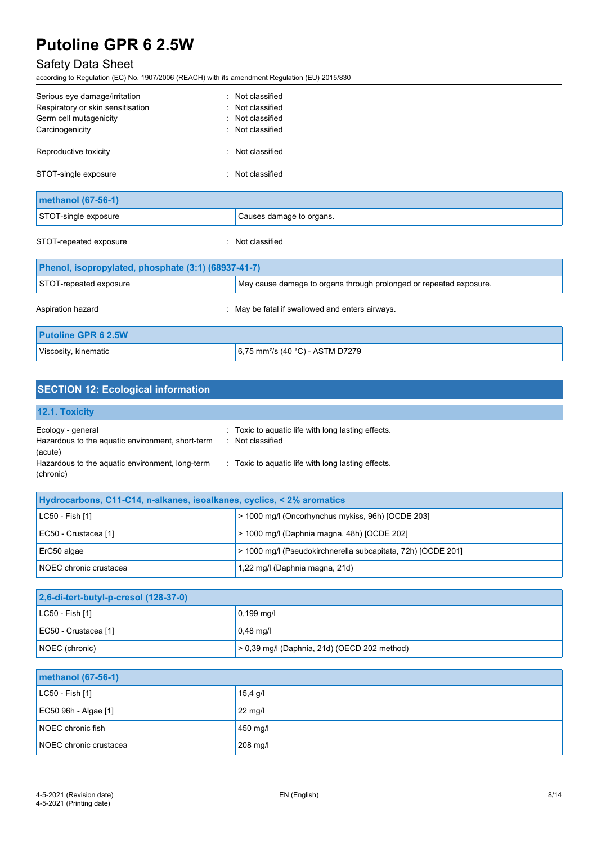# Safety Data Sheet

according to Regulation (EC) No. 1907/2006 (REACH) with its amendment Regulation (EU) 2015/830

| Serious eye damage/irritation     | : Not classified         |
|-----------------------------------|--------------------------|
| Respiratory or skin sensitisation | : Not classified         |
| Germ cell mutagenicity            | : Not classified         |
| Carcinogenicity                   | : Not classified         |
| Reproductive toxicity             | : Not classified         |
| STOT-single exposure              | : Not classified         |
| methanol (67-56-1)                |                          |
| STOT-single exposure              | Causes damage to organs. |

STOT-repeated exposure in the state of the state of the STOT-repeated exposure

| Phenol, isopropylated, phosphate (3:1) (68937-41-7) |                                                                    |  |
|-----------------------------------------------------|--------------------------------------------------------------------|--|
| STOT-repeated exposure                              | May cause damage to organs through prolonged or repeated exposure. |  |
| Aspiration hazard                                   | May be fatal if swallowed and enters airways.                      |  |
| <b>Putoline GPR 6 2.5W</b>                          |                                                                    |  |
| Viscosity, kinematic                                | 6,75 mm <sup>2</sup> /s (40 °C) - ASTM D7279                       |  |

# **SECTION 12: Ecological information**

# **12.1. Toxicity**

| Ecology - general                                | Toxic to aquatic life with long lasting effects. |
|--------------------------------------------------|--------------------------------------------------|
| Hazardous to the aquatic environment, short-term | Not classified                                   |
| (acute)                                          |                                                  |
| Hazardous to the aquatic environment, long-term  | Toxic to aquatic life with long lasting effects. |
| (chronic)                                        |                                                  |

| Hydrocarbons, C11-C14, n-alkanes, isoalkanes, cyclics, < 2% aromatics |                                                              |  |
|-----------------------------------------------------------------------|--------------------------------------------------------------|--|
| LC50 - Fish [1]                                                       | > 1000 mg/l (Oncorhynchus mykiss, 96h) [OCDE 203]            |  |
| EC50 - Crustacea [1]                                                  | > 1000 mg/l (Daphnia magna, 48h) [OCDE 202]                  |  |
| ErC50 algae                                                           | > 1000 mg/l (Pseudokirchnerella subcapitata, 72h) [OCDE 201] |  |
| NOEC chronic crustacea                                                | 1,22 mg/l (Daphnia magna, 21d)                               |  |

| 2,6-di-tert-butyl-p-cresol (128-37-0) |                                                |  |
|---------------------------------------|------------------------------------------------|--|
| $ $ LC50 - Fish [1]                   | $0,199 \text{ mq/l}$                           |  |
| EC50 - Crustacea [1]                  | $0.48$ mg/l                                    |  |
| NOEC (chronic)                        | $> 0.39$ mg/l (Daphnia, 21d) (OECD 202 method) |  |

| <b>methanol</b> (67-56-1) |                   |  |
|---------------------------|-------------------|--|
| LC50 - Fish [1]           | 15,4 g/l          |  |
| EC50 96h - Algae [1]      | $22 \text{ mg/l}$ |  |
| NOEC chronic fish         | 450 mg/l          |  |
| NOEC chronic crustacea    | 208 mg/l          |  |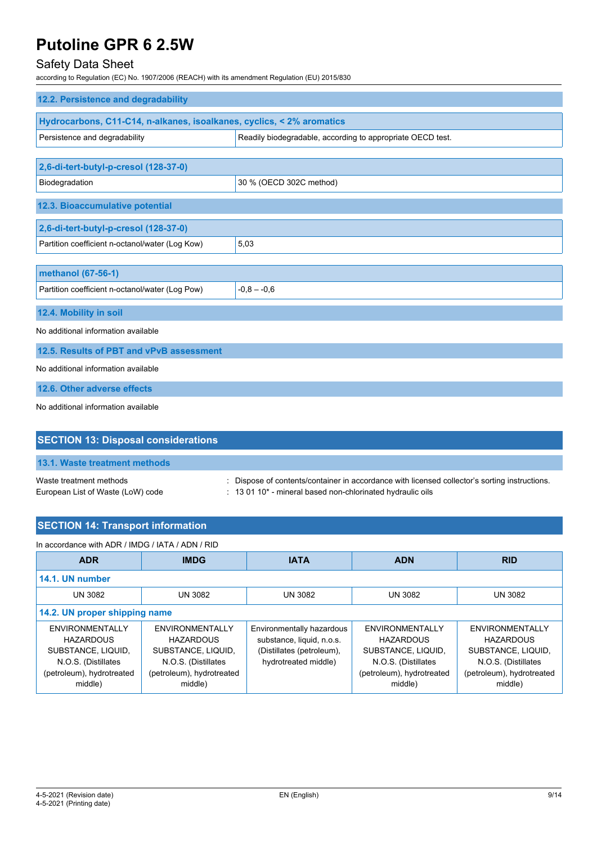# Safety Data Sheet

according to Regulation (EC) No. 1907/2006 (REACH) with its amendment Regulation (EU) 2015/830

| 12.2. Persistence and degradability                                   |                                                            |  |  |
|-----------------------------------------------------------------------|------------------------------------------------------------|--|--|
| Hydrocarbons, C11-C14, n-alkanes, isoalkanes, cyclics, < 2% aromatics |                                                            |  |  |
| Persistence and degradability                                         | Readily biodegradable, according to appropriate OECD test. |  |  |
|                                                                       |                                                            |  |  |
| 2,6-di-tert-butyl-p-cresol (128-37-0)                                 |                                                            |  |  |
| Biodegradation                                                        | 30 % (OECD 302C method)                                    |  |  |
| 12.3. Bioaccumulative potential                                       |                                                            |  |  |
| 2,6-di-tert-butyl-p-cresol (128-37-0)                                 |                                                            |  |  |
| Partition coefficient n-octanol/water (Log Kow)                       | 5,03                                                       |  |  |
|                                                                       |                                                            |  |  |
| methanol (67-56-1)                                                    |                                                            |  |  |
| Partition coefficient n-octanol/water (Log Pow)                       | $-0.8 - -0.6$                                              |  |  |
| 12.4. Mobility in soil                                                |                                                            |  |  |
| No additional information available                                   |                                                            |  |  |
| 12.5. Results of PBT and vPvB assessment                              |                                                            |  |  |
| No additional information available                                   |                                                            |  |  |
| 12.6. Other adverse effects                                           |                                                            |  |  |
| No additional information available                                   |                                                            |  |  |
|                                                                       |                                                            |  |  |
| <b>SECTION 13: Disposal considerations</b>                            |                                                            |  |  |
| 13.1. Waste treatment methods                                         |                                                            |  |  |

Waste treatment methods : Dispose of contents/container in accordance with licensed collector's sorting instructions. European List of Waste (LoW) code : 13 01 10\* - mineral based non-chlorinated hydraulic oils

| In accordance with ADR / IMDG / IATA / ADN / RID                                                                         |                                                                                                                          |                                                                                                             |                                                                                                                          |                                                                                                                          |
|--------------------------------------------------------------------------------------------------------------------------|--------------------------------------------------------------------------------------------------------------------------|-------------------------------------------------------------------------------------------------------------|--------------------------------------------------------------------------------------------------------------------------|--------------------------------------------------------------------------------------------------------------------------|
| <b>ADR</b>                                                                                                               | <b>IMDG</b>                                                                                                              | <b>IATA</b>                                                                                                 | <b>ADN</b>                                                                                                               | <b>RID</b>                                                                                                               |
| 14.1. UN number                                                                                                          |                                                                                                                          |                                                                                                             |                                                                                                                          |                                                                                                                          |
| <b>UN 3082</b>                                                                                                           | <b>UN 3082</b>                                                                                                           | <b>UN 3082</b>                                                                                              | <b>UN 3082</b>                                                                                                           | <b>UN 3082</b>                                                                                                           |
| 14.2. UN proper shipping name                                                                                            |                                                                                                                          |                                                                                                             |                                                                                                                          |                                                                                                                          |
| ENVIRONMENTALLY<br><b>HAZARDOUS</b><br>SUBSTANCE, LIQUID,<br>N.O.S. (Distillates<br>(petroleum), hydrotreated<br>middle) | ENVIRONMENTALLY<br><b>HAZARDOUS</b><br>SUBSTANCE, LIQUID,<br>N.O.S. (Distillates<br>(petroleum), hydrotreated<br>middle) | Environmentally hazardous<br>substance, liquid, n.o.s.<br>(Distillates (petroleum),<br>hydrotreated middle) | ENVIRONMENTALLY<br><b>HAZARDOUS</b><br>SUBSTANCE, LIQUID,<br>N.O.S. (Distillates<br>(petroleum), hydrotreated<br>middle) | ENVIRONMENTALLY<br><b>HAZARDOUS</b><br>SUBSTANCE, LIQUID,<br>N.O.S. (Distillates<br>(petroleum), hydrotreated<br>middle) |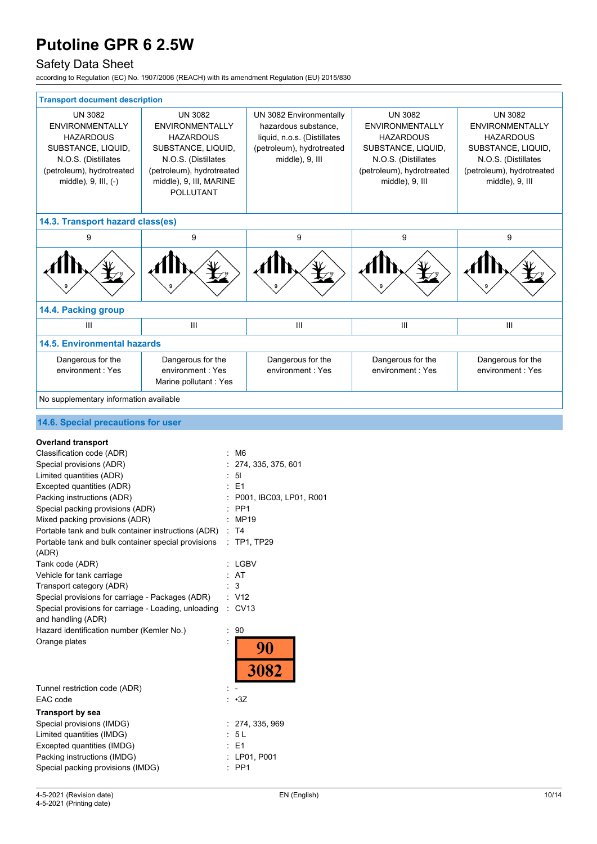# Safety Data Sheet

according to Regulation (EC) No. 1907/2006 (REACH) with its amendment Regulation (EU) 2015/830

| <b>Transport document description</b>                                                                                                                                                                                                                                                                                                                                                                                                                                                                                                                                                                                                                          |                                                                                                                                                                                       |                                                                                                                                |                                                                                                                                                           |                                                                                                                                                           |
|----------------------------------------------------------------------------------------------------------------------------------------------------------------------------------------------------------------------------------------------------------------------------------------------------------------------------------------------------------------------------------------------------------------------------------------------------------------------------------------------------------------------------------------------------------------------------------------------------------------------------------------------------------------|---------------------------------------------------------------------------------------------------------------------------------------------------------------------------------------|--------------------------------------------------------------------------------------------------------------------------------|-----------------------------------------------------------------------------------------------------------------------------------------------------------|-----------------------------------------------------------------------------------------------------------------------------------------------------------|
| <b>UN 3082</b><br><b>ENVIRONMENTALLY</b><br><b>HAZARDOUS</b><br>SUBSTANCE, LIQUID,<br>N.O.S. (Distillates<br>(petroleum), hydrotreated<br>middle), 9, III, (-)                                                                                                                                                                                                                                                                                                                                                                                                                                                                                                 | <b>UN 3082</b><br><b>ENVIRONMENTALLY</b><br><b>HAZARDOUS</b><br>SUBSTANCE, LIQUID,<br>N.O.S. (Distillates<br>(petroleum), hydrotreated<br>middle), 9, III, MARINE<br><b>POLLUTANT</b> | UN 3082 Environmentally<br>hazardous substance,<br>liquid, n.o.s. (Distillates<br>(petroleum), hydrotreated<br>middle), 9, III | <b>UN 3082</b><br><b>ENVIRONMENTALLY</b><br><b>HAZARDOUS</b><br>SUBSTANCE, LIQUID,<br>N.O.S. (Distillates<br>(petroleum), hydrotreated<br>middle), 9, III | <b>UN 3082</b><br><b>ENVIRONMENTALLY</b><br><b>HAZARDOUS</b><br>SUBSTANCE, LIQUID,<br>N.O.S. (Distillates<br>(petroleum), hydrotreated<br>middle), 9, III |
| 14.3. Transport hazard class(es)                                                                                                                                                                                                                                                                                                                                                                                                                                                                                                                                                                                                                               |                                                                                                                                                                                       |                                                                                                                                |                                                                                                                                                           |                                                                                                                                                           |
| 9                                                                                                                                                                                                                                                                                                                                                                                                                                                                                                                                                                                                                                                              | 9                                                                                                                                                                                     | 9                                                                                                                              | 9                                                                                                                                                         | 9                                                                                                                                                         |
|                                                                                                                                                                                                                                                                                                                                                                                                                                                                                                                                                                                                                                                                |                                                                                                                                                                                       |                                                                                                                                |                                                                                                                                                           |                                                                                                                                                           |
| 14.4. Packing group                                                                                                                                                                                                                                                                                                                                                                                                                                                                                                                                                                                                                                            |                                                                                                                                                                                       |                                                                                                                                |                                                                                                                                                           |                                                                                                                                                           |
| $\mathbf{III}$                                                                                                                                                                                                                                                                                                                                                                                                                                                                                                                                                                                                                                                 | III                                                                                                                                                                                   | Ш                                                                                                                              | Ш                                                                                                                                                         | Ш                                                                                                                                                         |
| <b>14.5. Environmental hazards</b>                                                                                                                                                                                                                                                                                                                                                                                                                                                                                                                                                                                                                             |                                                                                                                                                                                       |                                                                                                                                |                                                                                                                                                           |                                                                                                                                                           |
| Dangerous for the<br>environment: Yes                                                                                                                                                                                                                                                                                                                                                                                                                                                                                                                                                                                                                          | Dangerous for the<br>environment : Yes<br>Marine pollutant : Yes                                                                                                                      | Dangerous for the<br>environment: Yes                                                                                          | Dangerous for the<br>environment: Yes                                                                                                                     | Dangerous for the<br>environment: Yes                                                                                                                     |
| No supplementary information available                                                                                                                                                                                                                                                                                                                                                                                                                                                                                                                                                                                                                         |                                                                                                                                                                                       |                                                                                                                                |                                                                                                                                                           |                                                                                                                                                           |
| 14.6. Special precautions for user                                                                                                                                                                                                                                                                                                                                                                                                                                                                                                                                                                                                                             |                                                                                                                                                                                       |                                                                                                                                |                                                                                                                                                           |                                                                                                                                                           |
| <b>Overland transport</b><br>Classification code (ADR)<br>Special provisions (ADR)<br>Limited quantities (ADR)<br>Excepted quantities (ADR)<br>Packing instructions (ADR)<br>Special packing provisions (ADR)<br>Mixed packing provisions (ADR)<br>Portable tank and bulk container instructions (ADR)<br>Portable tank and bulk container special provisions : TP1, TP29<br>(ADR)<br>Tank code (ADR)<br>Vehicle for tank carriage<br>Transport category (ADR)<br>Special provisions for carriage - Packages (ADR)<br>Special provisions for carriage - Loading, unloading<br>and handling (ADR)<br>Hazard identification number (Kemler No.)<br>Orange plates | : M6<br>: 51<br>$E = 1$<br>PP <sub>1</sub><br>: MP19<br>: T4<br>: LGBV<br>: AT<br>$\mathbf{3}$<br>: V12<br>$\therefore$ CV13<br>$\cdot$ 90                                            | : 274, 335, 375, 601<br>P001, IBC03, LP01, R001<br>90<br>3082                                                                  |                                                                                                                                                           |                                                                                                                                                           |
| Tunnel restriction code (ADR)<br>EAC code                                                                                                                                                                                                                                                                                                                                                                                                                                                                                                                                                                                                                      | ÷.<br>$\cdot 3Z$                                                                                                                                                                      |                                                                                                                                |                                                                                                                                                           |                                                                                                                                                           |
| <b>Transport by sea</b><br>Special provisions (IMDG)<br>Limited quantities (IMDG)<br>Excepted quantities (IMDG)<br>Packing instructions (IMDG)<br>Special packing provisions (IMDG)                                                                                                                                                                                                                                                                                                                                                                                                                                                                            | : 5L<br>: E1<br>$:$ PP1                                                                                                                                                               | : 274, 335, 969<br>: LP01, P001                                                                                                |                                                                                                                                                           |                                                                                                                                                           |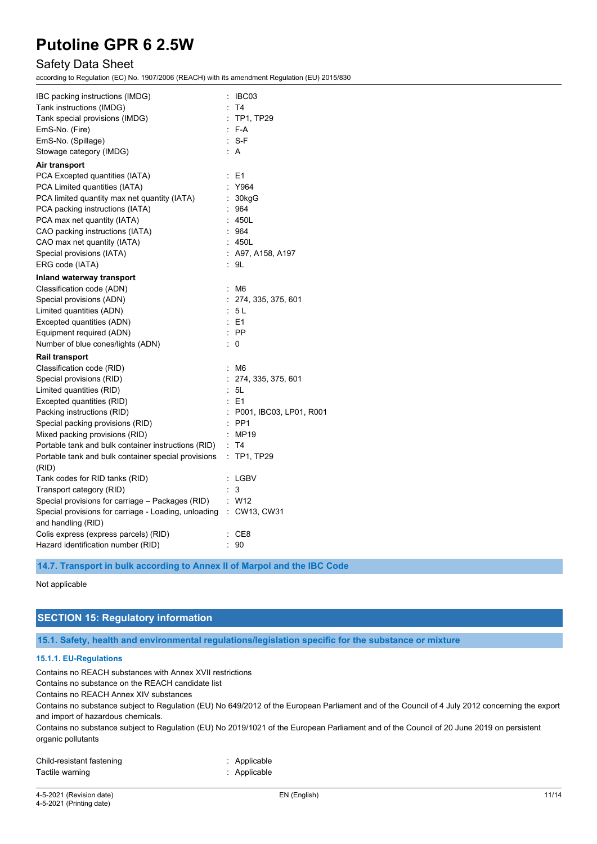# Safety Data Sheet

according to Regulation (EC) No. 1907/2006 (REACH) with its amendment Regulation (EU) 2015/830

| IBC packing instructions (IMDG)                                   |   | IBC03                   |
|-------------------------------------------------------------------|---|-------------------------|
| Tank instructions (IMDG)                                          |   | T <sub>4</sub>          |
| Tank special provisions (IMDG)                                    |   | $\therefore$ TP1, TP29  |
| EmS-No. (Fire)                                                    |   | : F-A                   |
| EmS-No. (Spillage)                                                |   | $: S-F$                 |
| Stowage category (IMDG)                                           |   | : A                     |
| Air transport                                                     |   |                         |
| PCA Excepted quantities (IATA)                                    | t | E1                      |
| PCA Limited quantities (IATA)                                     |   | Y964                    |
| PCA limited quantity max net quantity (IATA)                      |   | 30kgG                   |
| PCA packing instructions (IATA)                                   |   | 964                     |
| PCA max net quantity (IATA)                                       |   | 450L                    |
| CAO packing instructions (IATA)                                   |   | 964                     |
| CAO max net quantity (IATA)                                       |   | 450L                    |
| Special provisions (IATA)                                         |   | : A97, A158, A197       |
| ERG code (IATA)                                                   |   | : 9L                    |
| Inland waterway transport                                         |   |                         |
| Classification code (ADN)                                         | ÷ | M6                      |
| Special provisions (ADN)                                          |   | : 274, 335, 375, 601    |
| Limited quantities (ADN)                                          |   | : 5L                    |
| Excepted quantities (ADN)                                         |   | E1                      |
| Equipment required (ADN)                                          |   | $:$ PP                  |
| Number of blue cones/lights (ADN)                                 |   | 0                       |
| <b>Rail transport</b>                                             |   |                         |
| Classification code (RID)                                         | ÷ | M6                      |
| Special provisions (RID)                                          | t | 274, 335, 375, 601      |
| Limited quantities (RID)                                          |   | 5L                      |
| Excepted quantities (RID)                                         |   | $E = 1$                 |
| Packing instructions (RID)                                        |   | P001, IBC03, LP01, R001 |
| Special packing provisions (RID)                                  |   | PP <sub>1</sub>         |
| Mixed packing provisions (RID)                                    |   | MP19                    |
| Portable tank and bulk container instructions (RID)               |   | - T4                    |
| Portable tank and bulk container special provisions               |   | $:$ TP1, TP29           |
| (RID)                                                             |   |                         |
| Tank codes for RID tanks (RID)                                    |   | LGBV                    |
| Transport category (RID)                                          |   | 3                       |
| Special provisions for carriage - Packages (RID)                  |   | $:$ W12                 |
| Special provisions for carriage - Loading, unloading : CW13, CW31 |   |                         |
| and handling (RID)                                                |   |                         |
| Colis express (express parcels) (RID)                             |   | CE8                     |
| Hazard identification number (RID)                                |   | 90                      |

**14.7. Transport in bulk according to Annex II of Marpol and the IBC Code**

#### Not applicable

# **SECTION 15: Regulatory information**

**15.1. Safety, health and environmental regulations/legislation specific for the substance or mixture**

#### **15.1.1. EU-Regulations**

Contains no REACH substances with Annex XVII restrictions

Contains no substance on the REACH candidate list

Contains no REACH Annex XIV substances

Contains no substance subject to Regulation (EU) No 649/2012 of the European Parliament and of the Council of 4 July 2012 concerning the export and import of hazardous chemicals.

Contains no substance subject to Regulation (EU) No 2019/1021 of the European Parliament and of the Council of 20 June 2019 on persistent organic pollutants

| Child-resistant fastening | : Applicable |
|---------------------------|--------------|
| Tactile warning           | : Applicable |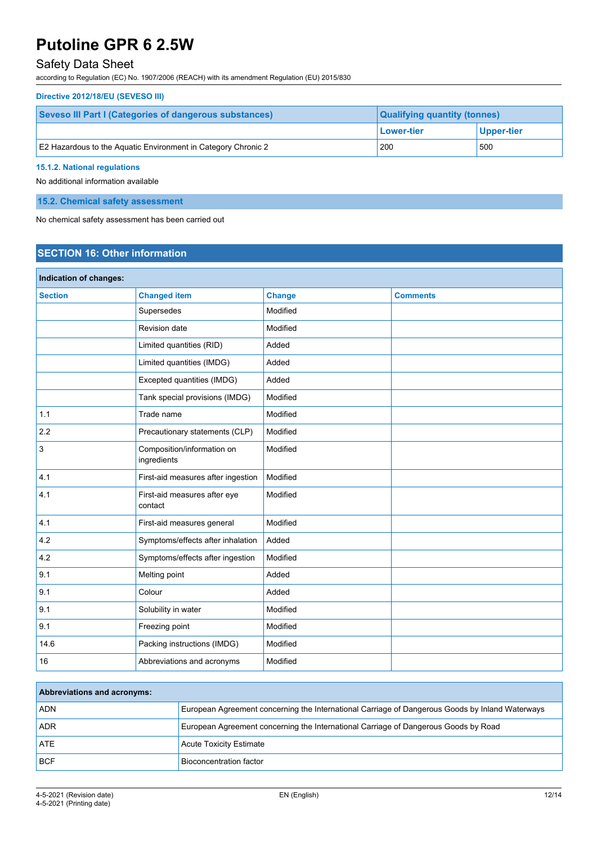# Safety Data Sheet

according to Regulation (EC) No. 1907/2006 (REACH) with its amendment Regulation (EU) 2015/830

#### **Directive 2012/18/EU (SEVESO III)**

| Seveso III Part I (Categories of dangerous substances)        | <b>Qualifying quantity (tonnes)</b> |            |
|---------------------------------------------------------------|-------------------------------------|------------|
|                                                               | Lower-tier                          | Upper-tier |
| E2 Hazardous to the Aquatic Environment in Category Chronic 2 | 200                                 | 500        |

#### **15.1.2. National regulations**

No additional information available

### **15.2. Chemical safety assessment**

No chemical safety assessment has been carried out

# **SECTION 16: Other information**

| Indication of changes: |                                           |               |                 |
|------------------------|-------------------------------------------|---------------|-----------------|
| <b>Section</b>         | <b>Changed item</b>                       | <b>Change</b> | <b>Comments</b> |
|                        | Supersedes                                | Modified      |                 |
|                        | Revision date                             | Modified      |                 |
|                        | Limited quantities (RID)                  | Added         |                 |
|                        | Limited quantities (IMDG)                 | Added         |                 |
|                        | Excepted quantities (IMDG)                | Added         |                 |
|                        | Tank special provisions (IMDG)            | Modified      |                 |
| 1.1                    | Trade name                                | Modified      |                 |
| 2.2                    | Precautionary statements (CLP)            | Modified      |                 |
| 3                      | Composition/information on<br>ingredients | Modified      |                 |
| 4.1                    | First-aid measures after ingestion        | Modified      |                 |
| 4.1                    | First-aid measures after eye<br>contact   | Modified      |                 |
| 4.1                    | First-aid measures general                | Modified      |                 |
| 4.2                    | Symptoms/effects after inhalation         | Added         |                 |
| 4.2                    | Symptoms/effects after ingestion          | Modified      |                 |
| 9.1                    | Melting point                             | Added         |                 |
| 9.1                    | Colour                                    | Added         |                 |
| 9.1                    | Solubility in water                       | Modified      |                 |
| 9.1                    | Freezing point                            | Modified      |                 |
| 14.6                   | Packing instructions (IMDG)               | Modified      |                 |
| 16                     | Abbreviations and acronyms                | Modified      |                 |

| <b>Abbreviations and acronyms:</b> |                                                                                                 |
|------------------------------------|-------------------------------------------------------------------------------------------------|
| <b>ADN</b>                         | European Agreement concerning the International Carriage of Dangerous Goods by Inland Waterways |
| <b>ADR</b>                         | European Agreement concerning the International Carriage of Dangerous Goods by Road             |
| <b>ATE</b>                         | <b>Acute Toxicity Estimate</b>                                                                  |
| <b>BCF</b>                         | Bioconcentration factor                                                                         |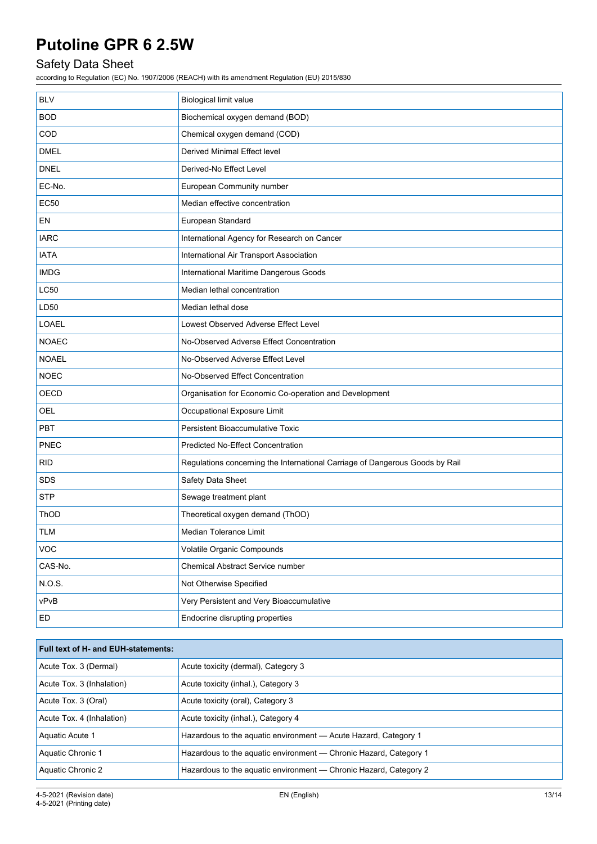# Safety Data Sheet

according to Regulation (EC) No. 1907/2006 (REACH) with its amendment Regulation (EU) 2015/830

| <b>BLV</b>   | <b>Biological limit value</b>                                                |
|--------------|------------------------------------------------------------------------------|
| <b>BOD</b>   | Biochemical oxygen demand (BOD)                                              |
| COD          | Chemical oxygen demand (COD)                                                 |
| <b>DMEL</b>  | <b>Derived Minimal Effect level</b>                                          |
| <b>DNEL</b>  | Derived-No Effect Level                                                      |
| EC-No.       | European Community number                                                    |
| <b>EC50</b>  | Median effective concentration                                               |
| EN           | European Standard                                                            |
| <b>IARC</b>  | International Agency for Research on Cancer                                  |
| <b>IATA</b>  | International Air Transport Association                                      |
| <b>IMDG</b>  | International Maritime Dangerous Goods                                       |
| <b>LC50</b>  | Median lethal concentration                                                  |
| LD50         | Median lethal dose                                                           |
| <b>LOAEL</b> | Lowest Observed Adverse Effect Level                                         |
| <b>NOAEC</b> | No-Observed Adverse Effect Concentration                                     |
| <b>NOAEL</b> | No-Observed Adverse Effect Level                                             |
| <b>NOEC</b>  | No-Observed Effect Concentration                                             |
| <b>OECD</b>  | Organisation for Economic Co-operation and Development                       |
| OEL          | Occupational Exposure Limit                                                  |
| <b>PBT</b>   | Persistent Bioaccumulative Toxic                                             |
| <b>PNEC</b>  | <b>Predicted No-Effect Concentration</b>                                     |
| <b>RID</b>   | Regulations concerning the International Carriage of Dangerous Goods by Rail |
| SDS          | Safety Data Sheet                                                            |
| <b>STP</b>   | Sewage treatment plant                                                       |
| ThOD         | Theoretical oxygen demand (ThOD)                                             |
| <b>TLM</b>   | <b>Median Tolerance Limit</b>                                                |
| VOC          | Volatile Organic Compounds                                                   |
| CAS-No.      | Chemical Abstract Service number                                             |
| N.O.S.       | Not Otherwise Specified                                                      |
| vPvB         | Very Persistent and Very Bioaccumulative                                     |
| ED           | Endocrine disrupting properties                                              |

| <b>Full text of H- and EUH-statements:</b> |                                                                   |
|--------------------------------------------|-------------------------------------------------------------------|
| Acute Tox. 3 (Dermal)                      | Acute toxicity (dermal), Category 3                               |
| Acute Tox. 3 (Inhalation)                  | Acute toxicity (inhal.), Category 3                               |
| Acute Tox. 3 (Oral)                        | Acute toxicity (oral), Category 3                                 |
| Acute Tox. 4 (Inhalation)                  | Acute toxicity (inhal.), Category 4                               |
| Aquatic Acute 1                            | Hazardous to the aquatic environment - Acute Hazard, Category 1   |
| Aquatic Chronic 1                          | Hazardous to the aquatic environment — Chronic Hazard, Category 1 |
| Aquatic Chronic 2                          | Hazardous to the aquatic environment — Chronic Hazard, Category 2 |